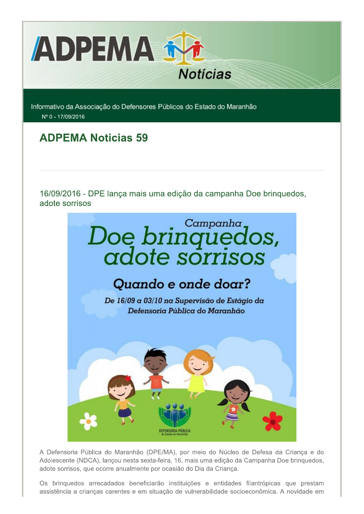

Informativo da Associação do Defensores Públicos do Estado do Maranhão Nº 0 - 17/09/2016

## **ADPEMA Noticias 59**

16/09/2016 - DPE lança mais uma edição da campanha Doe brinquedos, adote sorrisos



A Defensoria Pública do Maranhão (DPE/MA), por meio do Núcleo de Defesa da Crianca e do Adolescente (NDCA), lançou nesta sexta-feira, 16, mais uma edição da Campanha Doe bringuedos, adote sorrisos, que ocorre anualmente por ocasião do Dia da Criança.

Os brinquedos arrecadados beneficiarão instituições e entidades filantrópicas que prestam assistência a criancas carentes e em situação de vulnerabilidade socioeconômica. A novidade em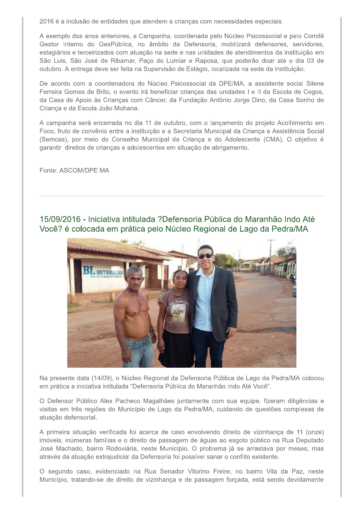2016 é a inclusão de entidades que atendem a crianças com necessidades especiais.

A exemplo dos anos anteriores, a Campanha, coordenada pelo Núcleo Psicossocial e pelo Comitê Gestor Interno do GesPública, no âmbito da Defensoria, mobilizará defensores, servidores, estagiários e terceirizados com atuação na sede e nas unidades de atendimentos da instituição em São Luis, São José de Ribamar, Paço do Lumiar e Raposa, que poderão doar até o dia 03 de outubro. A entrega deve ser feita na Supervisão de Estágio, localizada na sede da instituição.

De acordo com a coordenadora do Núcleo Psicossocial da DPE/MA, a assistente social Silene Ferreira Gomes de Brito, o evento irá beneficiar crianças das unidades I e II da Escola de Cegos, da Casa de Apoio às Crianças com Câncer, da Fundação Antônio Jorge Dino, da Casa Sonho de Criança e da Escola João Mohana.

A campanha será encerrada no dia 11 de outubro, com o lançamento do projeto Acolhimento em Foco, fruto de convênio entre a instituição e a Secretaria Municipal da Crianca e Assistência Social (Semcas), por meio do Conselho Municipal da Criança e do Adolescente (CMA). O objetivo é garantir direitos de crianças e adolescentes em situação de abrigamento.

Fonte: ASCOM/DPE MA

15/09/2016 - Iniciativa intitulada ?Defensoria Pública do Maranhão Indo Até Você? é colocada em prática pelo Núcleo Regional de Lago da Pedra/MA



Na presente data (14/09), o Núcleo Regional da Defensoria Pública de Lago da Pedra/MA colocou em prática a iniciativa intitulada "Defensoria Pública do Maranhão Indo Até Você".

O Defensor Público Alex Pacheco Magalhães juntamente com sua equipe, fizeram diligências e visitas em três regiões do Município de Lago da Pedra/MA, cuidando de questões complexas de atuação defensorial.

A primeira situação verificada foi acerca de caso envolvendo direito de vizinhança de 11 (onze) imóveis, inúmeras famílias e o direito de passagem de águas ao esgoto público na Rua Deputado José Machado, bairro Rodoviária, neste Município. O problema já se arrastava por meses, mas através da atuação extrajudicial da Defensoria foi possível sanar o conflito existente.

O segundo caso, evidenciado na Rua Senador Vitorino Freire, no bairro Vila da Paz, neste Município, tratando-se de direito de vizinhança e de passagem forçada, está sendo devidamente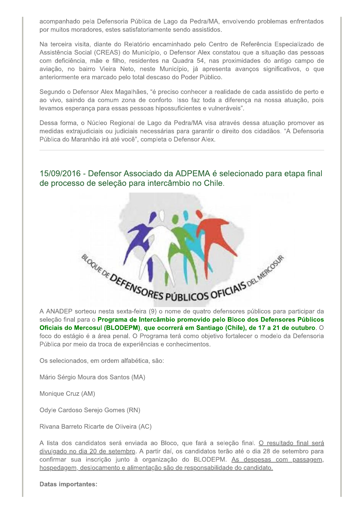acompanhado pela Defensoria Pública de Lago da Pedra/MA, envolvendo problemas enfrentados por muitos moradores, estes satisfatoriamente sendo assistidos.

Na terceira visita, diante do Relatório encaminhado pelo Centro de Referência Especializado de Assistência Social (CREAS) do Município, o Defensor Alex constatou que a situação das pessoas com deficiência, mãe e filho, residentes na Quadra 54, nas proximidades do antigo campo de aviação, no bairro Vieira Neto, neste Município, já apresenta avanços significativos, o que anteriormente era marcado pelo total descaso do Poder Público.

Segundo o Defensor Alex Magalhães, "é preciso conhecer a realidade de cada assistido de perto e ao vivo, saindo da comum zona de conforto. Isso faz toda a diferença na nossa atuação, pois levamos esperança para essas pessoas hipossuficientes e vulneráveis".

Dessa forma, o Núcleo Regional de Lago da Pedra/MA visa através dessa atuação promover as medidas extrajudiciais ou judiciais necessárias para garantir o direito dos cidadãos. "A Defensoria Pública do Maranhão irá até você", completa o Defensor Alex.

15/09/2016 - Defensor Associado da ADPEMA é selecionado para etapa final de processo de seleção para intercâmbio no Chile.



A ANADEP sorteou nesta sexta-feira (9) o nome de quatro defensores públicos para participar da seleção final para o Programa de Intercâmbio promovido pelo Bloco dos Defensores Públicos Oficiais do Mercosul (BLODEPM), que ocorrerá em Santiago (Chile), de 17 a 21 de outubro. O foco do estágio é a área penal. O Programa terá como objetivo fortalecer o modelo da Defensoria Pública por meio da troca de experiências e conhecimentos.

Os selecionados, em ordem alfabética, são:

Mário Sérgio Moura dos Santos (MA)

Monique Cruz (AM)

Odyle Cardoso Serejo Gomes (RN)

Rivana Barreto Ricarte de Oliveira (AC)

A lista dos candidatos será enviada ao Bloco, que fará a seleção final. O resultado final será divulgado no dia 20 de setembro. A partir daí, os candidatos terão até o dia 28 de setembro para confirmar sua inscrição junto à organização do BLODEPM. As despesas com passagem, hospedagem, deslocamento e alimentação são de responsabilidade do candidato.

**Datas importantes:**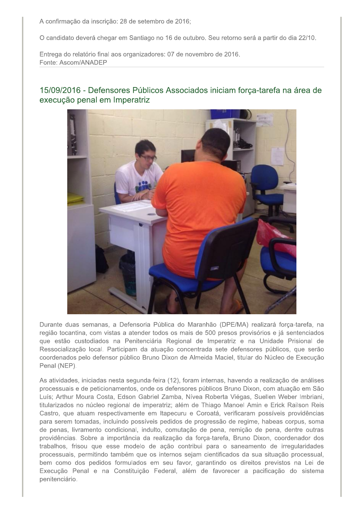A confirmação da inscrição: 28 de setembro de 2016;

O candidato deverá chegar em Santiago no 16 de outubro. Seu retorno será a partir do dia 22/10.

Entrega do relatório final aos organizadores: 07 de novembro de 2016. Fonte: Ascom/ANADEP



## 15/09/2016 - Defensores Públicos Associados iniciam forca-tarefa na área de execução penal em Imperatriz

Durante duas semanas, a Defensoria Pública do Maranhão (DPE/MA) realizará forca-tarefa, na região tocantina, com vistas a atender todos os mais de 500 presos provisórios e já sentenciados que estão custodiados na Penitenciária Regional de Imperatriz e na Unidade Prisional de Ressocialização local. Participam da atuação concentrada sete defensores públicos, que serão coordenados pelo defensor público Bruno Dixon de Almeida Maciel, titular do Núcleo de Execução Penal (NEP).

As atividades, iniciadas nesta segunda-feira (12), foram internas, havendo a realização de análises processuais e de peticionamentos, onde os defensores públicos Bruno Dixon, com atuação em São Luís; Arthur Moura Costa, Edson Gabriel Zamba, Nívea Roberta Viégas, Suellen Weber Imbriani, titularizados no núcleo regional de imperatriz; além de Thiago Manoel Amin e Erick Railson Reis Castro, que atuam respectivamente em Itapecuru e Coroatá, verificaram possíveis providências para serem tomadas, incluindo possíveis pedidos de progressão de regime, habeas corpus, soma de penas, livramento condicional, indulto, comutação de pena, remição de pena, dentre outras providências. Sobre a importância da realização da força-tarefa, Bruno Dixon, coordenador dos trabalhos, frisou que esse modelo de ação contribui para o saneamento de irregularidades processuais, permitindo também que os internos sejam cientificados da sua situação processual, bem como dos pedidos formulados em seu favor, garantindo os direitos previstos na Lei de Execução Penal e na Constituição Federal, além de favorecer a pacificação do sistema penitenciário.